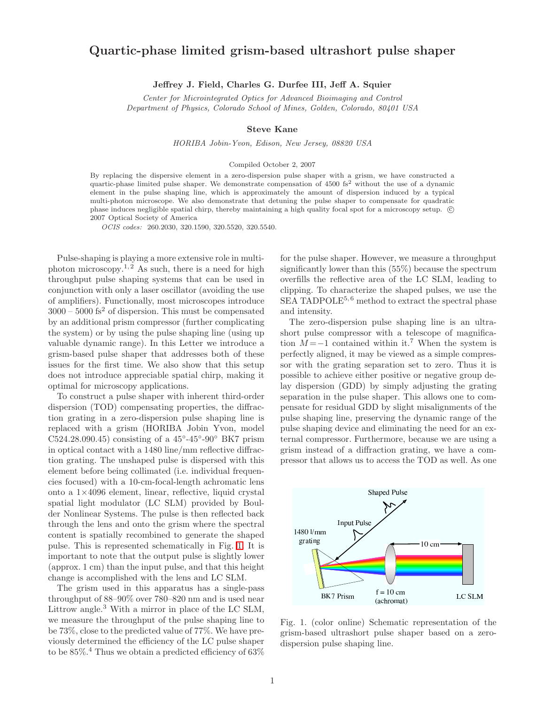## Quartic-phase limited grism-based ultrashort pulse shaper

Jeffrey J. Field, Charles G. Durfee III, Jeff A. Squier

Center for Microintegrated Optics for Advanced Bioimaging and Control Department of Physics, Colorado School of Mines, Golden, Colorado, 80401 USA

## Steve Kane

HORIBA Jobin-Yvon, Edison, New Jersey, 08820 USA

## Compiled October 2, 2007

By replacing the dispersive element in a zero-dispersion pulse shaper with a grism, we have constructed a quartic-phase limited pulse shaper. We demonstrate compensation of 4500 fs<sup>2</sup> without the use of a dynamic element in the pulse shaping line, which is approximately the amount of dispersion induced by a typical multi-photon microscope. We also demonstrate that detuning the pulse shaper to compensate for quadratic phase induces negligible spatial chirp, thereby maintaining a high quality focal spot for a microscopy setup. c 2007 Optical Society of America

OCIS codes: 260.2030, 320.1590, 320.5520, 320.5540.

Pulse-shaping is playing a more extensive role in multiphoton microscopy.<sup>1, 2</sup> As such, there is a need for high throughput pulse shaping systems that can be used in conjunction with only a laser oscillator (avoiding the use of amplifiers). Functionally, most microscopes introduce  $3000 - 5000$  fs<sup>2</sup> of dispersion. This must be compensated by an additional prism compressor (further complicating the system) or by using the pulse shaping line (using up valuable dynamic range). In this Letter we introduce a grism-based pulse shaper that addresses both of these issues for the first time. We also show that this setup does not introduce appreciable spatial chirp, making it optimal for microscopy applications.

To construct a pulse shaper with inherent third-order dispersion (TOD) compensating properties, the diffraction grating in a zero-dispersion pulse shaping line is replaced with a grism (HORIBA Jobin Yvon, model C524.28.090.45) consisting of a 45°-45°-90° BK7 prism in optical contact with a 1480 line/mm reflective diffraction grating. The unshaped pulse is dispersed with this element before being collimated (i.e. individual frequencies focused) with a 10-cm-focal-length achromatic lens onto a 1×4096 element, linear, reflective, liquid crystal spatial light modulator (LC SLM) provided by Boulder Nonlinear Systems. The pulse is then reflected back through the lens and onto the grism where the spectral content is spatially recombined to generate the shaped pulse. This is represented schematically in Fig. [1.](#page-0-0) It is important to note that the output pulse is slightly lower (approx. 1 cm) than the input pulse, and that this height change is accomplished with the lens and LC SLM.

The grism used in this apparatus has a single-pass throughput of 88–90% over 780–820 nm and is used near Littrow angle. $3$  With a mirror in place of the LC SLM, we measure the throughput of the pulse shaping line to be 73%, close to the predicted value of 77%. We have previously determined the efficiency of the LC pulse shaper to be  $85\%$ <sup>4</sup>. Thus we obtain a predicted efficiency of  $63\%$  for the pulse shaper. However, we measure a throughput significantly lower than this (55%) because the spectrum overfills the reflective area of the LC SLM, leading to clipping. To characterize the shaped pulses, we use the SEA TADPOLE<sup>5,6</sup> method to extract the spectral phase and intensity.

The zero-dispersion pulse shaping line is an ultrashort pulse compressor with a telescope of magnification  $M = -1$  contained within it.<sup>7</sup> When the system is perfectly aligned, it may be viewed as a simple compressor with the grating separation set to zero. Thus it is possible to achieve either positive or negative group delay dispersion (GDD) by simply adjusting the grating separation in the pulse shaper. This allows one to compensate for residual GDD by slight misalignments of the pulse shaping line, preserving the dynamic range of the pulse shaping device and eliminating the need for an external compressor. Furthermore, because we are using a grism instead of a diffraction grating, we have a compressor that allows us to access the TOD as well. As one



<span id="page-0-0"></span>Fig. 1. (color online) Schematic representation of the grism-based ultrashort pulse shaper based on a zerodispersion pulse shaping line.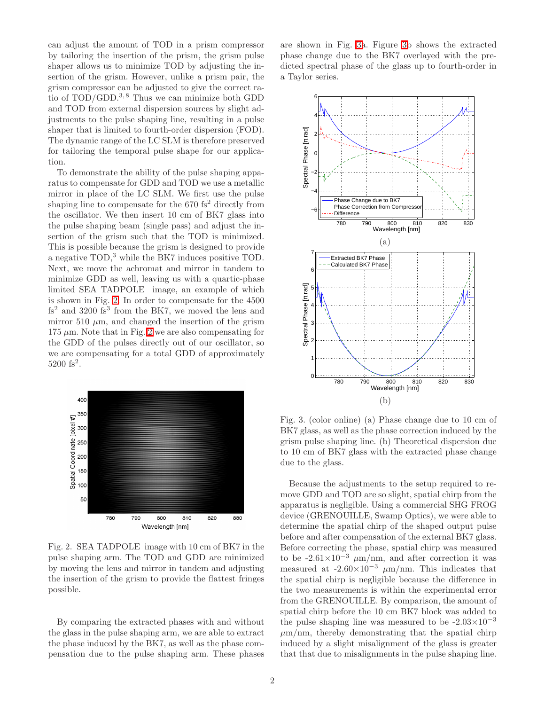can adjust the amount of TOD in a prism compressor by tailoring the insertion of the prism, the grism pulse shaper allows us to minimize TOD by adjusting the insertion of the grism. However, unlike a prism pair, the grism compressor can be adjusted to give the correct ratio of  $\text{TOP}/\text{GDD}.^{3,8}$  Thus we can minimize both GDD and TOD from external dispersion sources by slight adjustments to the pulse shaping line, resulting in a pulse shaper that is limited to fourth-order dispersion (FOD). The dynamic range of the LC SLM is therefore preserved for tailoring the temporal pulse shape for our application.

To demonstrate the ability of the pulse shaping apparatus to compensate for GDD and TOD we use a metallic mirror in place of the LC SLM. We first use the pulse shaping line to compensate for the 670 fs<sup>2</sup> directly from the oscillator. We then insert 10 cm of BK7 glass into the pulse shaping beam (single pass) and adjust the insertion of the grism such that the TOD is minimized. This is possible because the grism is designed to provide a negative TOD,<sup>3</sup> while the BK7 induces positive TOD. Next, we move the achromat and mirror in tandem to minimize GDD as well, leaving us with a quartic-phase limited SEA TADPOLE image, an example of which is shown in Fig. [2.](#page-1-0) In order to compensate for the 4500  $fs<sup>2</sup>$  and 3200 fs<sup>3</sup> from the BK7, we moved the lens and mirror 510  $\mu$ m, and changed the insertion of the grism  $175 \mu m$ . Note that in Fig. [2](#page-1-0) we are also compensating for the GDD of the pulses directly out of our oscillator, so we are compensating for a total GDD of approximately 5200 fs<sup>2</sup> .



<span id="page-1-0"></span>Fig. 2. SEA TADPOLE image with 10 cm of BK7 in the pulse shaping arm. The TOD and GDD are minimized by moving the lens and mirror in tandem and adjusting the insertion of the grism to provide the flattest fringes possible.

By comparing the extracted phases with and without the glass in the pulse shaping arm, we are able to extract the phase induced by the BK7, as well as the phase compensation due to the pulse shaping arm. These phases are shown in Fig. [3a](#page-1-1). Figure [3b](#page-1-1) shows the extracted phase change due to the BK7 overlayed with the predicted spectral phase of the glass up to fourth-order in a Taylor series.



<span id="page-1-1"></span>Fig. 3. (color online) (a) Phase change due to 10 cm of BK7 glass, as well as the phase correction induced by the grism pulse shaping line. (b) Theoretical dispersion due to 10 cm of BK7 glass with the extracted phase change due to the glass.

Because the adjustments to the setup required to remove GDD and TOD are so slight, spatial chirp from the apparatus is negligible. Using a commercial SHG FROG device (GRENOUILLE, Swamp Optics), we were able to determine the spatial chirp of the shaped output pulse before and after compensation of the external BK7 glass. Before correcting the phase, spatial chirp was measured to be  $-2.61\times10^{-3} \mu m/nm$ , and after correction it was measured at  $-2.60 \times 10^{-3}$  µm/nm. This indicates that the spatial chirp is negligible because the difference in the two measurements is within the experimental error from the GRENOUILLE. By comparison, the amount of spatial chirp before the 10 cm BK7 block was added to the pulse shaping line was measured to be  $-2.03\times10^{-3}$  $\mu$ m/nm, thereby demonstrating that the spatial chirp induced by a slight misalignment of the glass is greater that that due to misalignments in the pulse shaping line.